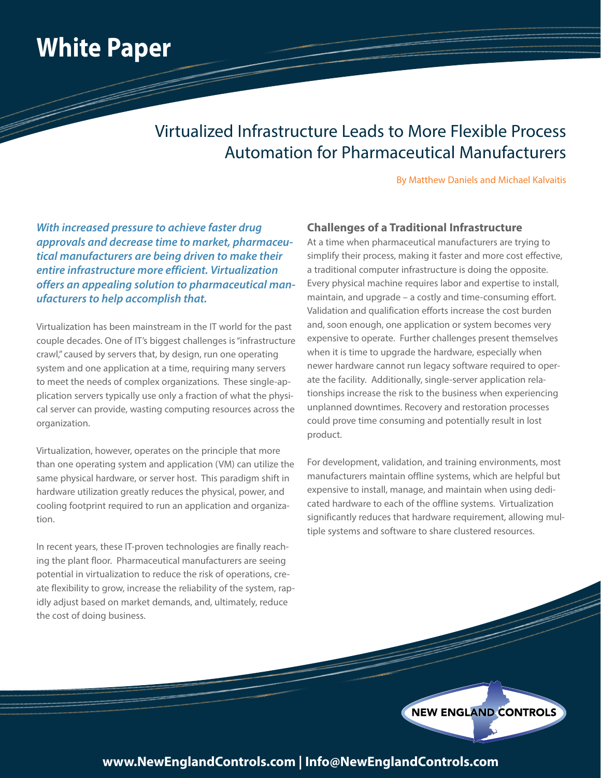## **White Paper**

### Virtualized Infrastructure Leads to More Flexible Process Automation for Pharmaceutical Manufacturers

By Matthew Daniels and Michael Kalvaitis

*With increased pressure to achieve faster drug approvals and decrease time to market, pharmaceutical manufacturers are being driven to make their entire infrastructure more efficient. Virtualization offers an appealing solution to pharmaceutical manufacturers to help accomplish that.* 

Virtualization has been mainstream in the IT world for the past couple decades. One of IT's biggest challenges is "infrastructure crawl," caused by servers that, by design, run one operating system and one application at a time, requiring many servers to meet the needs of complex organizations. These single-application servers typically use only a fraction of what the physical server can provide, wasting computing resources across the organization.

Virtualization, however, operates on the principle that more than one operating system and application (VM) can utilize the same physical hardware, or server host. This paradigm shift in hardware utilization greatly reduces the physical, power, and cooling footprint required to run an application and organization.

In recent years, these IT-proven technologies are finally reaching the plant floor. Pharmaceutical manufacturers are seeing potential in virtualization to reduce the risk of operations, create flexibility to grow, increase the reliability of the system, rapidly adjust based on market demands, and, ultimately, reduce the cost of doing business.

#### **Challenges of a Traditional Infrastructure**

At a time when pharmaceutical manufacturers are trying to simplify their process, making it faster and more cost effective, a traditional computer infrastructure is doing the opposite. Every physical machine requires labor and expertise to install, maintain, and upgrade – a costly and time-consuming effort. Validation and qualification efforts increase the cost burden and, soon enough, one application or system becomes very expensive to operate. Further challenges present themselves when it is time to upgrade the hardware, especially when newer hardware cannot run legacy software required to operate the facility. Additionally, single-server application relationships increase the risk to the business when experiencing unplanned downtimes. Recovery and restoration processes could prove time consuming and potentially result in lost product.

For development, validation, and training environments, most manufacturers maintain offline systems, which are helpful but expensive to install, manage, and maintain when using dedicated hardware to each of the offline systems. Virtualization significantly reduces that hardware requirement, allowing multiple systems and software to share clustered resources.

NEW ENGLAND CONTROLS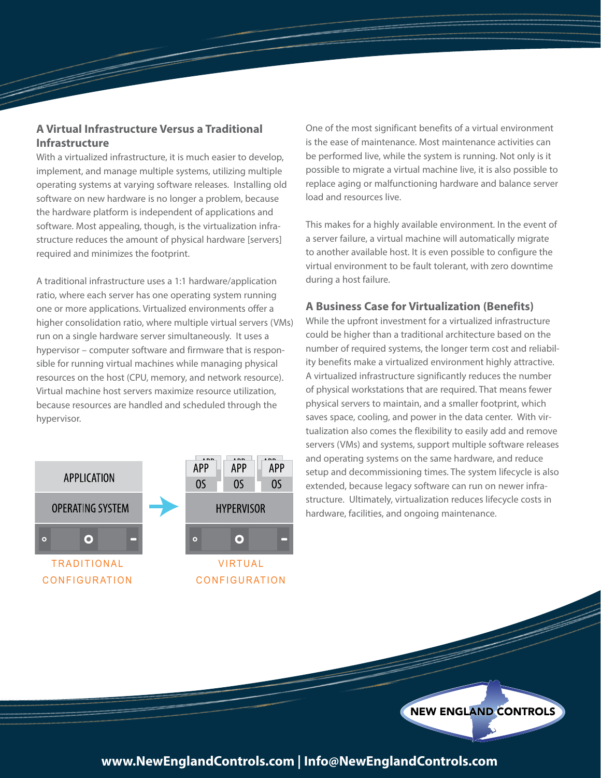#### **A Virtual Infrastructure Versus a Traditional Infrastructure**

With a virtualized infrastructure, it is much easier to develop, implement, and manage multiple systems, utilizing multiple operating systems at varying software releases. Installing old software on new hardware is no longer a problem, because the hardware platform is independent of applications and software. Most appealing, though, is the virtualization infrastructure reduces the amount of physical hardware [servers] required and minimizes the footprint.

A traditional infrastructure uses a 1:1 hardware/application ratio, where each server has one operating system running one or more applications. Virtualized environments offer a higher consolidation ratio, where multiple virtual servers (VMs) run on a single hardware server simultaneously. It uses a hypervisor – computer software and firmware that is responsible for running virtual machines while managing physical resources on the host (CPU, memory, and network resource). Virtual machine host servers maximize resource utilization, because resources are handled and scheduled through the hypervisor.



One of the most significant benefits of a virtual environment is the ease of maintenance. Most maintenance activities can be performed live, while the system is running. Not only is it possible to migrate a virtual machine live, it is also possible to replace aging or malfunctioning hardware and balance server load and resources live.

This makes for a highly available environment. In the event of a server failure, a virtual machine will automatically migrate to another available host. It is even possible to configure the virtual environment to be fault tolerant, with zero downtime during a host failure.

#### **A Business Case for Virtualization (Benefits)**

While the upfront investment for a virtualized infrastructure could be higher than a traditional architecture based on the number of required systems, the longer term cost and reliability benefits make a virtualized environment highly attractive. A virtualized infrastructure significantly reduces the number of physical workstations that are required. That means fewer physical servers to maintain, and a smaller footprint, which saves space, cooling, and power in the data center. With virtualization also comes the flexibility to easily add and remove servers (VMs) and systems, support multiple software releases and operating systems on the same hardware, and reduce setup and decommissioning times. The system lifecycle is also extended, because legacy software can run on newer infrastructure. Ultimately, virtualization reduces lifecycle costs in hardware, facilities, and ongoing maintenance.

NEW ENGLAND CONTROLS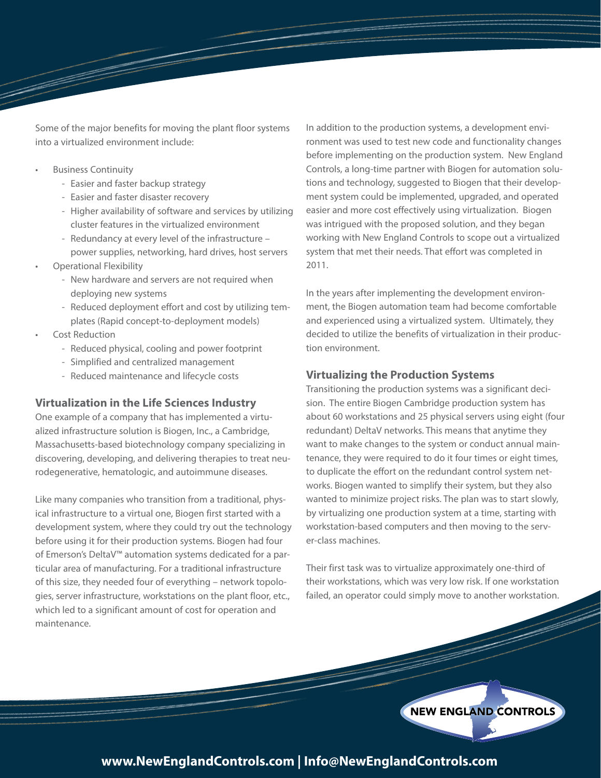Some of the major benefits for moving the plant floor systems into a virtualized environment include:

- Business Continuity
	- Easier and faster backup strategy
	- Easier and faster disaster recovery
	- Higher availability of software and services by utilizing cluster features in the virtualized environment
	- Redundancy at every level of the infrastructure power supplies, networking, hard drives, host servers
- Operational Flexibility
	- New hardware and servers are not required when deploying new systems
	- Reduced deployment effort and cost by utilizing templates (Rapid concept-to-deployment models)
- Cost Reduction
	- Reduced physical, cooling and power footprint
	- Simplified and centralized management
	- Reduced maintenance and lifecycle costs

#### **Virtualization in the Life Sciences Industry**

One example of a company that has implemented a virtualized infrastructure solution is Biogen, Inc., a Cambridge, Massachusetts-based biotechnology company specializing in discovering, developing, and delivering therapies to treat neurodegenerative, hematologic, and autoimmune diseases.

Like many companies who transition from a traditional, physical infrastructure to a virtual one, Biogen first started with a development system, where they could try out the technology before using it for their production systems. Biogen had four of Emerson's DeltaV™ automation systems dedicated for a particular area of manufacturing. For a traditional infrastructure of this size, they needed four of everything – network topologies, server infrastructure, workstations on the plant floor, etc., which led to a significant amount of cost for operation and maintenance.

In addition to the production systems, a development environment was used to test new code and functionality changes before implementing on the production system. New England Controls, a long-time partner with Biogen for automation solutions and technology, suggested to Biogen that their development system could be implemented, upgraded, and operated easier and more cost effectively using virtualization. Biogen was intrigued with the proposed solution, and they began working with New England Controls to scope out a virtualized system that met their needs. That effort was completed in 2011.

In the years after implementing the development environment, the Biogen automation team had become comfortable and experienced using a virtualized system. Ultimately, they decided to utilize the benefits of virtualization in their production environment.

#### **Virtualizing the Production Systems**

Transitioning the production systems was a significant decision. The entire Biogen Cambridge production system has about 60 workstations and 25 physical servers using eight (four redundant) DeltaV networks. This means that anytime they want to make changes to the system or conduct annual maintenance, they were required to do it four times or eight times, to duplicate the effort on the redundant control system networks. Biogen wanted to simplify their system, but they also wanted to minimize project risks. The plan was to start slowly, by virtualizing one production system at a time, starting with workstation-based computers and then moving to the server-class machines.

Their first task was to virtualize approximately one-third of their workstations, which was very low risk. If one workstation failed, an operator could simply move to another workstation.

NEW ENGLAND CONTROLS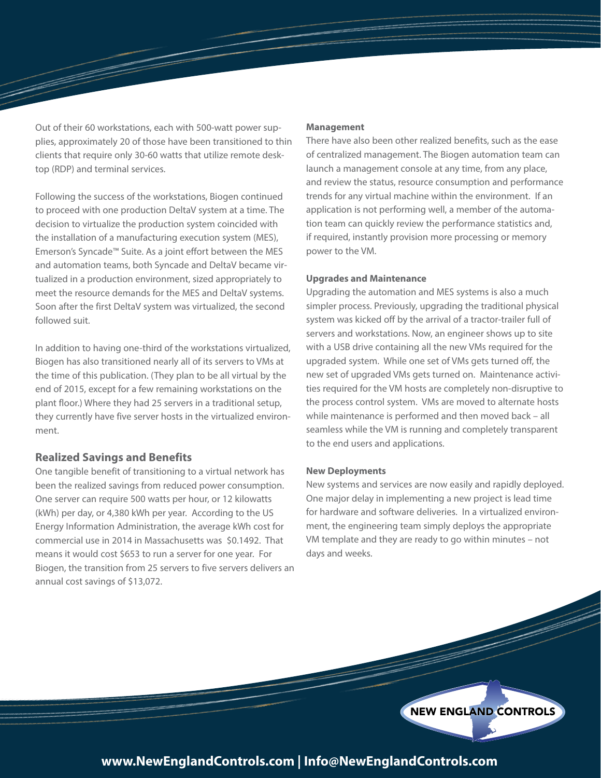Out of their 60 workstations, each with 500-watt power supplies, approximately 20 of those have been transitioned to thin clients that require only 30-60 watts that utilize remote desktop (RDP) and terminal services.

Following the success of the workstations, Biogen continued to proceed with one production DeltaV system at a time. The decision to virtualize the production system coincided with the installation of a manufacturing execution system (MES), Emerson's Syncade™ Suite. As a joint effort between the MES and automation teams, both Syncade and DeltaV became virtualized in a production environment, sized appropriately to meet the resource demands for the MES and DeltaV systems. Soon after the first DeltaV system was virtualized, the second followed suit.

In addition to having one-third of the workstations virtualized, Biogen has also transitioned nearly all of its servers to VMs at the time of this publication. (They plan to be all virtual by the end of 2015, except for a few remaining workstations on the plant floor.) Where they had 25 servers in a traditional setup, they currently have five server hosts in the virtualized environment.

#### **Realized Savings and Benefits**

One tangible benefit of transitioning to a virtual network has been the realized savings from reduced power consumption. One server can require 500 watts per hour, or 12 kilowatts (kWh) per day, or 4,380 kWh per year. According to the US Energy Information Administration, the average kWh cost for commercial use in 2014 in Massachusetts was \$0.1492. That means it would cost \$653 to run a server for one year. For Biogen, the transition from 25 servers to five servers delivers an annual cost savings of \$13,072.

#### **Management**

There have also been other realized benefits, such as the ease of centralized management. The Biogen automation team can launch a management console at any time, from any place, and review the status, resource consumption and performance trends for any virtual machine within the environment. If an application is not performing well, a member of the automation team can quickly review the performance statistics and, if required, instantly provision more processing or memory power to the VM.

#### **Upgrades and Maintenance**

Upgrading the automation and MES systems is also a much simpler process. Previously, upgrading the traditional physical system was kicked off by the arrival of a tractor-trailer full of servers and workstations. Now, an engineer shows up to site with a USB drive containing all the new VMs required for the upgraded system. While one set of VMs gets turned off, the new set of upgraded VMs gets turned on. Maintenance activities required for the VM hosts are completely non-disruptive to the process control system. VMs are moved to alternate hosts while maintenance is performed and then moved back – all seamless while the VM is running and completely transparent to the end users and applications.

#### **New Deployments**

New systems and services are now easily and rapidly deployed. One major delay in implementing a new project is lead time for hardware and software deliveries. In a virtualized environment, the engineering team simply deploys the appropriate VM template and they are ready to go within minutes – not days and weeks.